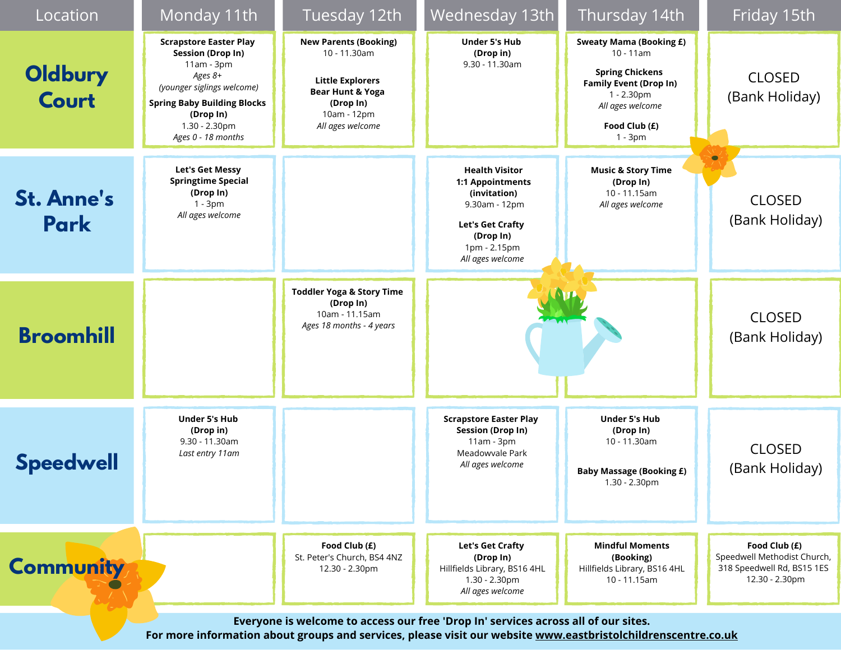| Location                                                                                                                                                                                            | Monday 11th                                                                                                                                                                                                | Tuesday 12th                                                                                                                                           | Wednesday 13th                                                                                                                                         | Thursday 14th                                                                                                                                                             | Friday 15th                                                                                  |  |  |  |
|-----------------------------------------------------------------------------------------------------------------------------------------------------------------------------------------------------|------------------------------------------------------------------------------------------------------------------------------------------------------------------------------------------------------------|--------------------------------------------------------------------------------------------------------------------------------------------------------|--------------------------------------------------------------------------------------------------------------------------------------------------------|---------------------------------------------------------------------------------------------------------------------------------------------------------------------------|----------------------------------------------------------------------------------------------|--|--|--|
| Oldbury<br>Court                                                                                                                                                                                    | <b>Scrapstore Easter Play</b><br><b>Session (Drop In)</b><br>11am - 3pm<br>Ages 8+<br>(younger siglings welcome)<br><b>Spring Baby Building Blocks</b><br>(Drop In)<br>1.30 - 2.30pm<br>Ages 0 - 18 months | <b>New Parents (Booking)</b><br>10 - 11.30am<br><b>Little Explorers</b><br><b>Bear Hunt &amp; Yoga</b><br>(Drop In)<br>10am - 12pm<br>All ages welcome | <b>Under 5's Hub</b><br>(Drop in)<br>$9.30 - 11.30$ am                                                                                                 | <b>Sweaty Mama (Booking £)</b><br>$10 - 11$ am<br><b>Spring Chickens</b><br><b>Family Event (Drop In)</b><br>1 - 2.30pm<br>All ages welcome<br>Food Club (£)<br>$1 - 3pm$ | <b>CLOSED</b><br>(Bank Holiday)                                                              |  |  |  |
| <b>St. Anne's</b><br>Park                                                                                                                                                                           | Let's Get Messy<br><b>Springtime Special</b><br>(Drop In)<br>$1 - 3pm$<br>All ages welcome                                                                                                                 |                                                                                                                                                        | <b>Health Visitor</b><br>1:1 Appointments<br>(invitation)<br>9.30am - 12pm<br><b>Let's Get Crafty</b><br>(Drop In)<br>1pm - 2.15pm<br>All ages welcome | <b>Music &amp; Story Time</b><br>(Drop In)<br>10 - 11.15am<br>All ages welcome                                                                                            | <b>CLOSED</b><br>(Bank Holiday)                                                              |  |  |  |
| <b>Broomhill</b>                                                                                                                                                                                    |                                                                                                                                                                                                            | <b>Toddler Yoga &amp; Story Time</b><br>(Drop In)<br>10am - 11.15am<br>Ages 18 months - 4 years                                                        |                                                                                                                                                        |                                                                                                                                                                           | <b>CLOSED</b><br>(Bank Holiday)                                                              |  |  |  |
| <b>Speedwell</b>                                                                                                                                                                                    | <b>Under 5's Hub</b><br>(Drop in)<br>$9.30 - 11.30$ am<br>Last entry 11 am                                                                                                                                 |                                                                                                                                                        | <b>Scrapstore Easter Play</b><br><b>Session (Drop In)</b><br>11am - 3pm<br>Meadowvale Park<br>All ages welcome                                         | <b>Under 5's Hub</b><br>(Drop In)<br>10 - 11.30am<br><b>Baby Massage (Booking £)</b><br>1.30 - 2.30pm                                                                     | <b>CLOSED</b><br>(Bank Holiday)                                                              |  |  |  |
| <b>Community</b>                                                                                                                                                                                    |                                                                                                                                                                                                            | Food Club (£)<br>St. Peter's Church, BS4 4NZ<br>12.30 - 2.30pm                                                                                         | Let's Get Crafty<br>(Drop In)<br>Hillfields Library, BS16 4HL<br>1.30 - 2.30pm<br>All ages welcome                                                     | <b>Mindful Moments</b><br>(Booking)<br>Hillfields Library, BS16 4HL<br>10 - 11.15am                                                                                       | Food Club (£)<br>Speedwell Methodist Church,<br>318 Speedwell Rd, BS15 1ES<br>12.30 - 2.30pm |  |  |  |
| Everyone is welcome to access our free 'Drop In' services across all of our sites.<br>For more information about groups and services, please visit our website www.eastbristolchildrenscentre.co.uk |                                                                                                                                                                                                            |                                                                                                                                                        |                                                                                                                                                        |                                                                                                                                                                           |                                                                                              |  |  |  |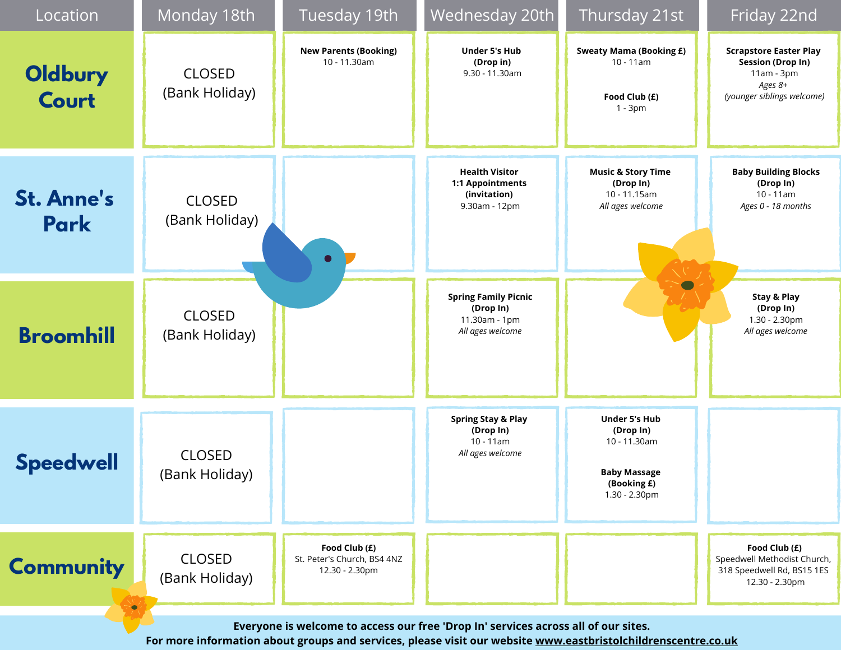| Location                                                                           | Monday 18th                     | Tuesday 19th                                                   | Wednesday 20th                                                                 | Thursday 21st                                                                                            | Friday 22nd                                                                                                        |  |  |  |
|------------------------------------------------------------------------------------|---------------------------------|----------------------------------------------------------------|--------------------------------------------------------------------------------|----------------------------------------------------------------------------------------------------------|--------------------------------------------------------------------------------------------------------------------|--|--|--|
| Oldbury<br><b>Court</b>                                                            | <b>CLOSED</b><br>(Bank Holiday) | <b>New Parents (Booking)</b><br>10 - 11.30am                   | <b>Under 5's Hub</b><br>(Drop in)<br>$9.30 - 11.30$ am                         | <b>Sweaty Mama (Booking £)</b><br>$10 - 11am$<br>Food Club (£)<br>$1 - 3pm$                              | <b>Scrapstore Easter Play</b><br><b>Session (Drop In)</b><br>$11am - 3pm$<br>Ages 8+<br>(younger siblings welcome) |  |  |  |
| <b>St. Anne's</b><br><b>Park</b>                                                   | <b>CLOSED</b><br>(Bank Holiday) | $\bullet$                                                      | <b>Health Visitor</b><br>1:1 Appointments<br>(invitation)<br>9.30am - 12pm     | <b>Music &amp; Story Time</b><br>(Drop In)<br>10 - 11.15am<br>All ages welcome                           | <b>Baby Building Blocks</b><br>(Drop In)<br>$10 - 11am$<br>Ages 0 - 18 months                                      |  |  |  |
| <b>Broomhill</b>                                                                   | <b>CLOSED</b><br>(Bank Holiday) |                                                                | <b>Spring Family Picnic</b><br>(Drop In)<br>11.30am - 1pm<br>All ages welcome  |                                                                                                          | Stay & Play<br>(Drop In)<br>1.30 - 2.30pm<br>All ages welcome                                                      |  |  |  |
| <b>Speedwell</b>                                                                   | <b>CLOSED</b><br>(Bank Holiday) |                                                                | <b>Spring Stay &amp; Play</b><br>(Drop In)<br>$10 - 11$ am<br>All ages welcome | <b>Under 5's Hub</b><br>(Drop In)<br>10 - 11.30am<br><b>Baby Massage</b><br>(Booking £)<br>1.30 - 2.30pm |                                                                                                                    |  |  |  |
| <b>Community</b><br>$\bullet$                                                      | <b>CLOSED</b><br>(Bank Holiday) | Food Club (£)<br>St. Peter's Church, BS4 4NZ<br>12.30 - 2.30pm |                                                                                |                                                                                                          | Food Club (£)<br>Speedwell Methodist Church,<br>318 Speedwell Rd, BS15 1ES<br>12.30 - 2.30pm                       |  |  |  |
| Everyone is welcome to access our free 'Drop In' services across all of our sites. |                                 |                                                                |                                                                                |                                                                                                          |                                                                                                                    |  |  |  |

**For more information about groups and services, please visit our website [www.eastbristolchildrenscentre.co.uk](http://www.eastbristolchildrenscentre.co.uk/)**